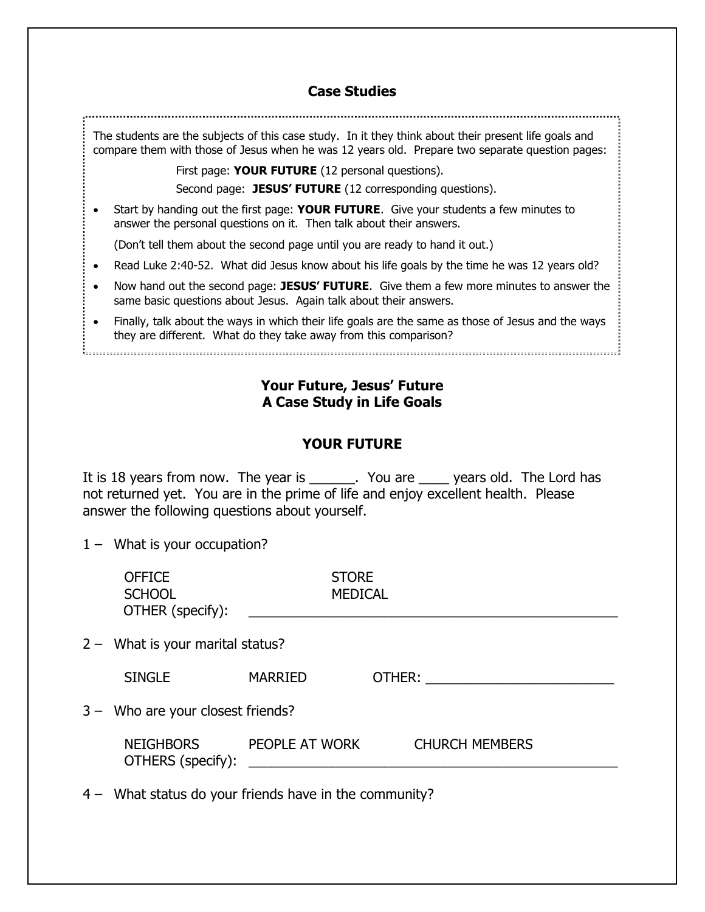## **Case Studies**

The students are the subjects of this case study. In it they think about their present life goals and compare them with those of Jesus when he was 12 years old. Prepare two separate question pages:

First page: **YOUR FUTURE** (12 personal questions).

Second page: JESUS' FUTURE (12 corresponding questions).

 Start by handing out the first page: **YOUR FUTURE**. Give your students a few minutes to answer the personal questions on it. Then talk about their answers.

(Don't tell them about the second page until you are ready to hand it out.)

- Read Luke 2:40-52. What did Jesus know about his life goals by the time he was 12 years old?
- Now hand out the second page: **JESUS' FUTURE**. Give them a few more minutes to answer the same basic questions about Jesus. Again talk about their answers.
- Finally, talk about the ways in which their life goals are the same as those of Jesus and the ways they are different. What do they take away from this comparison?

**Your Future, Jesus' Future A Case Study in Life Goals**

## **YOUR FUTURE**

It is 18 years from now. The year is \_\_\_\_\_\_. You are \_\_\_\_\_ years old. The Lord has not returned yet. You are in the prime of life and enjoy excellent health. Please answer the following questions about yourself.

1 – What is your occupation?

| <b>OFFICE</b><br><b>SCHOOL</b><br>OTHER (specify): | <b>STORE</b><br><b>MEDICAL</b> |                       |
|----------------------------------------------------|--------------------------------|-----------------------|
| $2 -$ What is your marital status?                 |                                |                       |
| <b>SINGLE</b>                                      | <b>MARRIED</b>                 | OTHER:                |
| 3 - Who are your closest friends?                  |                                |                       |
| <b>NEIGHBORS</b><br>OTHERS (specify):              | PEOPLE AT WORK                 | <b>CHURCH MEMBERS</b> |

4 – What status do your friends have in the community?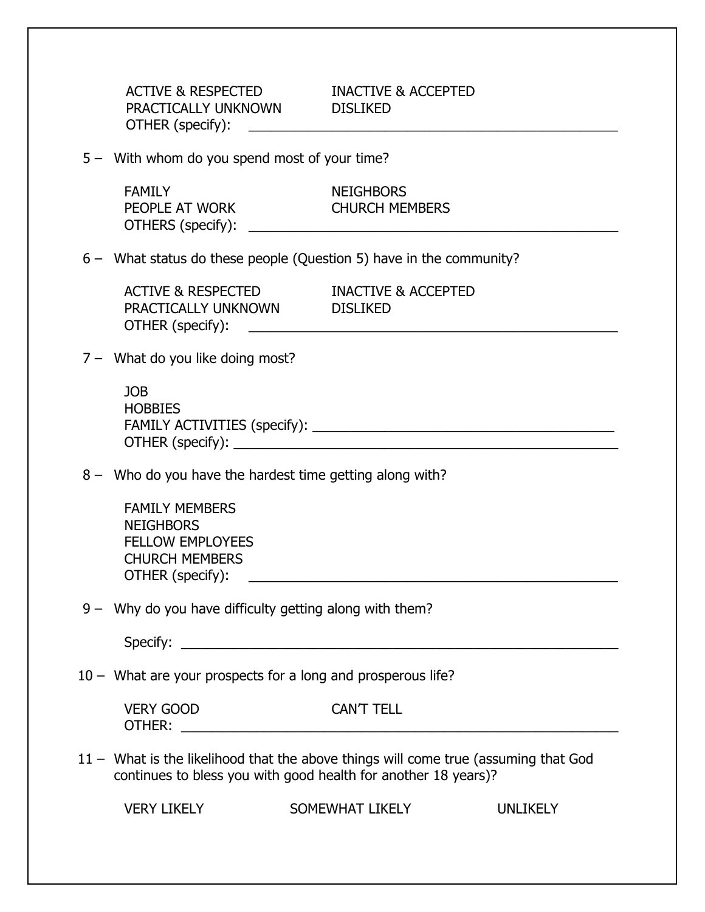ACTIVE & RESPECTED **INACTIVE & ACCEPTED**  PRACTICALLY UNKNOWN DISLIKED OTHER (specify): \_\_\_\_\_\_\_\_\_\_\_\_\_\_\_\_\_\_\_\_\_\_\_\_\_\_\_\_\_\_\_\_\_\_\_\_\_\_\_\_\_\_\_\_\_\_\_\_\_

5 – With whom do you spend most of your time?

FAMILY NEIGHBORS PEOPLE AT WORK CHURCH MEMBERS OTHERS (specify): \_\_\_\_\_\_\_\_\_\_\_\_\_\_\_\_\_\_\_\_\_\_\_\_\_\_\_\_\_\_\_\_\_\_\_\_\_\_\_\_\_\_\_\_\_\_\_\_\_

6 – What status do these people (Question 5) have in the community?

ACTIVE & RESPECTED INACTIVE & ACCEPTED PRACTICALLY UNKNOWN DISLIKED OTHER (specify): \_\_\_\_\_\_\_\_\_\_\_\_\_\_\_\_\_\_\_\_\_\_\_\_\_\_\_\_\_\_\_\_\_\_\_\_\_\_\_\_\_\_\_\_\_\_\_\_\_

7 – What do you like doing most?

JOB **HOBBIES** FAMILY ACTIVITIES (specify): \_\_\_\_\_\_\_\_\_\_\_\_\_\_\_\_\_\_\_\_\_\_\_\_\_\_\_\_\_\_\_\_\_\_\_\_\_\_\_\_ OTHER (specify): \_\_\_\_\_\_\_\_\_\_\_\_\_\_\_\_\_\_\_\_\_\_\_\_\_\_\_\_\_\_\_\_\_\_\_\_\_\_\_\_\_\_\_\_\_\_\_\_\_\_\_

8 – Who do you have the hardest time getting along with?

FAMILY MEMBERS **NEIGHBORS** FELLOW EMPLOYEES CHURCH MEMBERS  $\text{OTHER (specificity):}$   $\qquad \qquad \qquad$ 

9 – Why do you have difficulty getting along with them?

Specify: \_\_\_\_\_\_\_\_\_\_\_\_\_\_\_\_\_\_\_\_\_\_\_\_\_\_\_\_\_\_\_\_\_\_\_\_\_\_\_\_\_\_\_\_\_\_\_\_\_\_\_\_\_\_\_\_\_\_

10 – What are your prospects for a long and prosperous life?

| <b>VERY GOOD</b> | <b>CANT 1</b><br><b>TELL</b> |
|------------------|------------------------------|
| OTHER:           |                              |

11 – What is the likelihood that the above things will come true (assuming that God continues to bless you with good health for another 18 years)?

VERY LIKELY SOMEWHAT LIKELY UNLIKELY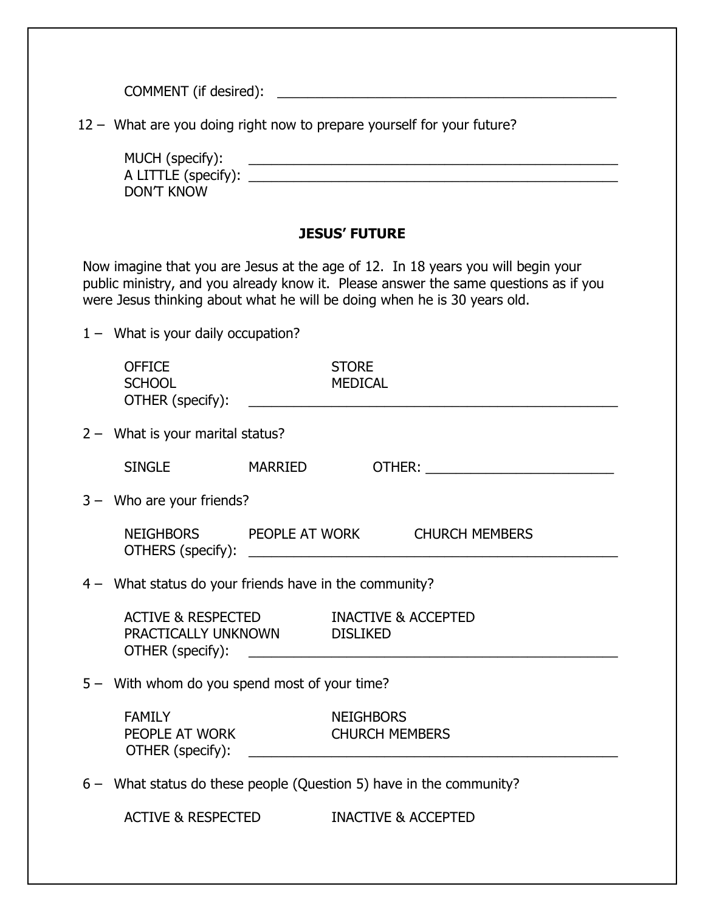COMMENT (if desired): \_\_\_\_\_\_\_\_\_\_\_\_\_\_\_\_\_\_\_\_\_\_\_\_\_\_\_\_\_\_\_\_\_\_\_\_\_\_\_\_\_\_\_\_\_

12 – What are you doing right now to prepare yourself for your future?

| MUCH (specify):     |  |
|---------------------|--|
| A LITTLE (specify): |  |
| DON'T KNOW          |  |

## **JESUS' FUTURE**

Now imagine that you are Jesus at the age of 12. In 18 years you will begin your public ministry, and you already know it. Please answer the same questions as if you were Jesus thinking about what he will be doing when he is 30 years old.

1 – What is your daily occupation?

| <b>OFFICE</b><br><b>SCHOOL</b>                                         |  | <b>STORE</b><br>MEDICAL |                                         |  |
|------------------------------------------------------------------------|--|-------------------------|-----------------------------------------|--|
| $2 -$ What is your marital status?                                     |  |                         |                                         |  |
| SINGLE MARRIED                                                         |  |                         |                                         |  |
| $3 -$ Who are your friends?                                            |  |                         |                                         |  |
|                                                                        |  |                         | NEIGHBORS PEOPLE AT WORK CHURCH MEMBERS |  |
| 4 - What status do your friends have in the community?                 |  |                         |                                         |  |
| ACTIVE & RESPECTED INACTIVE & ACCEPTED<br>PRACTICALLY UNKNOWN DISLIKED |  |                         |                                         |  |
| 5 - With whom do you spend most of your time?                          |  |                         |                                         |  |
|                                                                        |  |                         |                                         |  |
| 6 - What status do these people (Question 5) have in the community?    |  |                         |                                         |  |
| <b>ACTIVE &amp; RESPECTED</b>                                          |  |                         | <b>INACTIVE &amp; ACCEPTED</b>          |  |